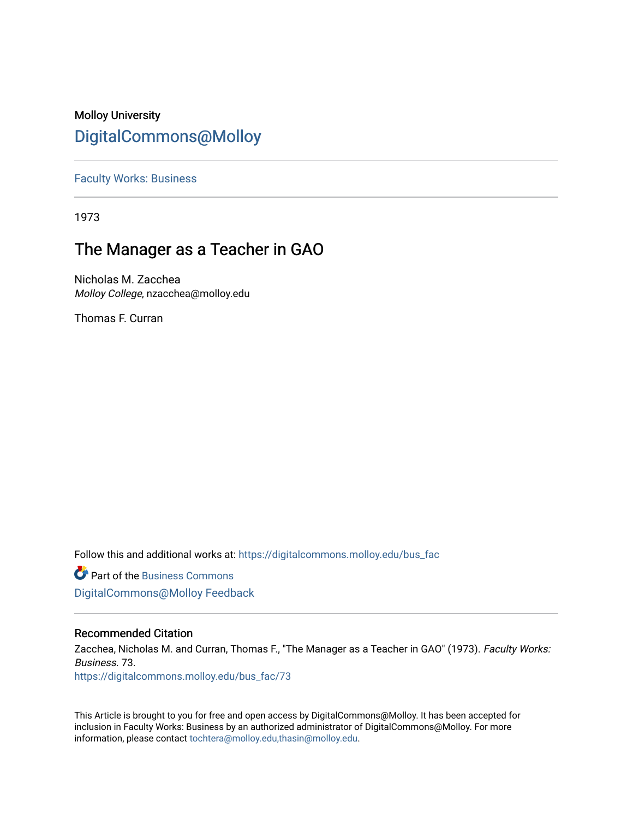# Molloy University [DigitalCommons@Molloy](https://digitalcommons.molloy.edu/)

[Faculty Works: Business](https://digitalcommons.molloy.edu/bus_fac) 

1973

# The Manager as a Teacher in GAO

Nicholas M. Zacchea Molloy College, nzacchea@molloy.edu

Thomas F. Curran

Follow this and additional works at: [https://digitalcommons.molloy.edu/bus\\_fac](https://digitalcommons.molloy.edu/bus_fac?utm_source=digitalcommons.molloy.edu%2Fbus_fac%2F73&utm_medium=PDF&utm_campaign=PDFCoverPages)

**C** Part of the [Business Commons](https://network.bepress.com/hgg/discipline/622?utm_source=digitalcommons.molloy.edu%2Fbus_fac%2F73&utm_medium=PDF&utm_campaign=PDFCoverPages)

## [DigitalCommons@Molloy Feedback](https://molloy.libwizard.com/f/dcfeedback)

### Recommended Citation

Zacchea, Nicholas M. and Curran, Thomas F., "The Manager as a Teacher in GAO" (1973). Faculty Works: Business. 73.

[https://digitalcommons.molloy.edu/bus\\_fac/73](https://digitalcommons.molloy.edu/bus_fac/73?utm_source=digitalcommons.molloy.edu%2Fbus_fac%2F73&utm_medium=PDF&utm_campaign=PDFCoverPages) 

This Article is brought to you for free and open access by DigitalCommons@Molloy. It has been accepted for inclusion in Faculty Works: Business by an authorized administrator of DigitalCommons@Molloy. For more information, please contact [tochtera@molloy.edu,thasin@molloy.edu.](mailto:tochtera@molloy.edu,thasin@molloy.edu)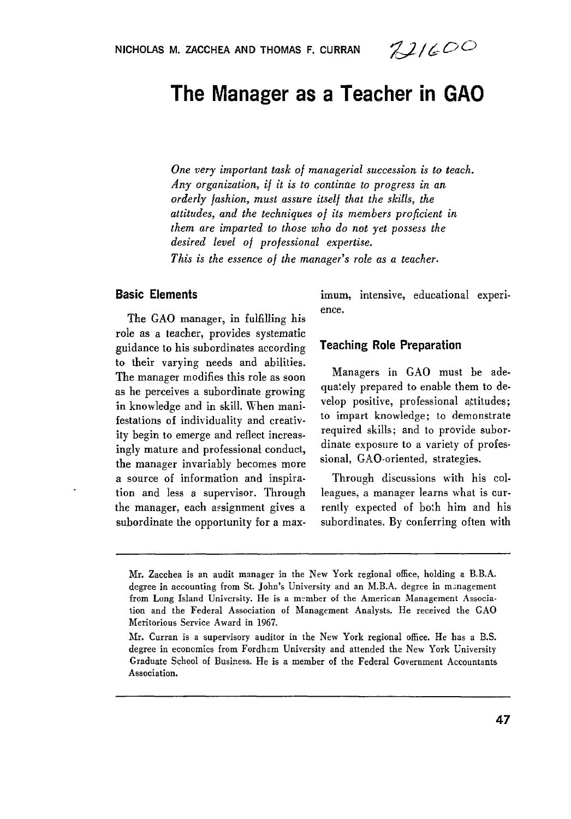# **The Manager as a Teacher in GAO**

*One very important task of managerial succession* **is** *to teach. Any organization, if it is to continae to progress in an orderly fashion, must assure itself that the skills, the attitudes, and the techniques of its members proficient in them are imparted to those who do not yet possess the desired level of professional expertise.* 

*This is the essence of the manager's role as a teacher.* 

#### **Basic Elements**

The **GAO** manager, in fulfilling his role *as* **a** teacher, provides systematic guidance to his subordinates according to their varying needs and abilities. The manager modifies this role as soon as he perceives a subordinate growing in knowledge and in skill. When manifestations of individuality and creativity begin to emerge and reflect increasingly mature and professional conduct, the manager invariably becomes more a source of information and inspiration and less a supervisor. Through the manager, each asignment gives a subordinate the opportunity for a maximum, intensive, educational experience.

#### **Teaching Role Preparation**

Managers in GAO must be adequa:ely prepared to enable them to develop positive, professional attitudes; to impart knowledge; to demonstrate required skills; and to provide subordinate exposure to a variety of professional, GAO-oriented, strategies.

Through discussions with his colleagues, a manager learns what is currently expected **of** both him and his subordinates. By conferring often with

Mr. Zacchea is an audit manager in the New York regional office, holding a B.B.A. degree in accounting from St. John's University and an M.B.A. degree in management from Long Island University. He is a mc-mber **of** the American Management Association and the Federal Association **of** Management Analysts. He received the GAO Meritorious Service Award in **1967.** 

hir. Curran is a supervisory auditor in the New York regional office. He has a B.S. degree in economics from Fordhem University and attended the New York University Graduate School of Business. He is a member of the Federal Government Accountants Association.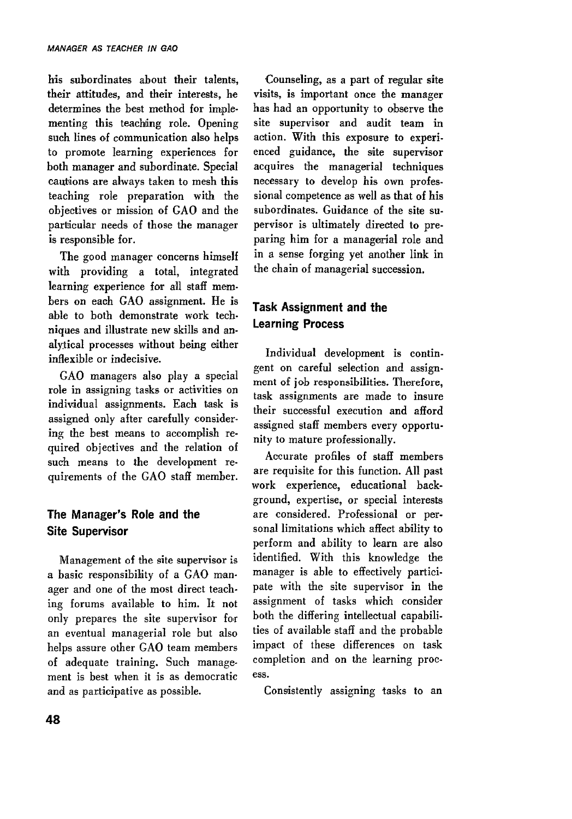his subordinates about their talents, their attitudes, and their interests, he determines the best method for implementing this teaching role. Opening such lines of communication also helps to promote learning experiences for both manager and subordinate. Special cautions are always taken to mesh this teaching role preparation with the objectives or mission of GAO and the particular needs of those the manager is responsible for.

The good manager concerns himself with providing a total, integrated learning experience for all staff members on each GAO assignment. He is able to both demonstrate work techniques and illustrate new skills and analytical processes without being either inflexible or indecisive.

GAO managers also play a special role in assigning tasks or activities on individual assignments. Each task is assigned only after carefully considering the best means to accomplish required objectives and the relation of such means to the development requirements of the GAO staff member.

### **The Manager's Role and the Site Supervisor**

Management of the site supervisor is a basic responsibility of a GAO manager and one **of** the most direct teaching forums available to him. It not only prepares the site supervisor for an eventual managerial role but also helps assure other GAO team members **of** adequate training. Such management is best when it is as democratic and as participative as possible.

Counseling, as a part **of** regular site visits, is important once the manager has had an oppartunity to observe the site supervisor and audit team in action. With this exposure to experienced guidance, the site supervisor acquires the managerial techniques necessary to develop his own professional competence as well as that **of** his subordinates. Guidance of the site supervisor is ultimately directed to preparing him for a managerial role and in a sense forging yet another link in the chain of managerial succession.

### **Task Assignment and the Learning Process**

Individual development is contingent on careful selection and assign**ment of job responsibilities. Therefore,**  task assignments are made to insure their successful execution and afford assigned staff members every opportunity to mature professionally.

Accurate profiles of staff members are requisite for this function. All past work experience, educational background, expertise, or special interests are considered. Professional or personal limitations which affect ability to perform and ability to learn are also identified. With this knowledge **the**  manager is able to effectively participate with the site supervisor in the assignment of tasks which consider both the differing intellectual capabilities of available staff and the probable impact of these differences on task completion and on the learning process.

Consistently assigning tasks to an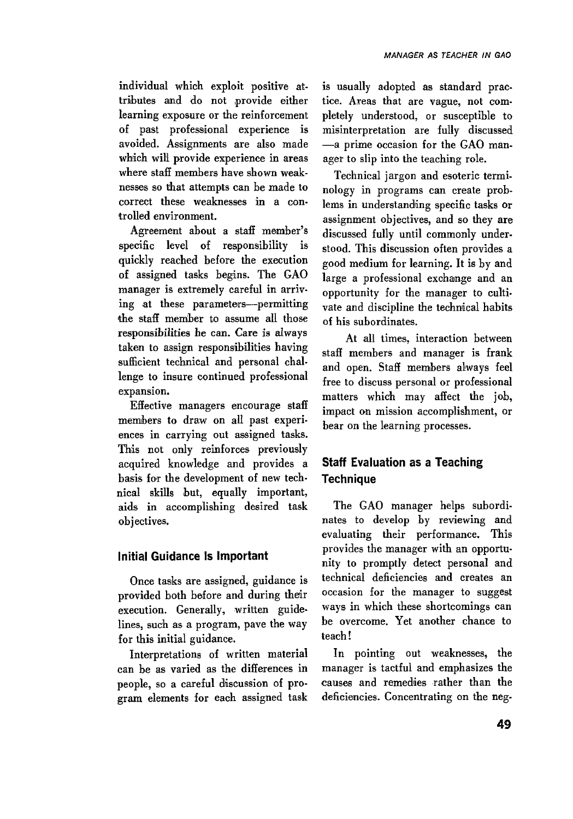individual which exploit positive attributes and do not provide either learning exposure or the reinforcement of past professional experience is avoided. Assignments are also made which will provide experience in areas where staff members have shown weaknesses so that attempts can be made to correct these weaknesses in a controlled environment.

Agreement about a **staff** member's specific level of responsibility is quickly reached before the execution **of** assigned tasks begins. The GAO manager is extremely careful in arriving at these parameters---permitting the staff member to assume all those responsibilities he can. Care is always taken to assign responsibilities having sufficient technical and personal challenge to insure continued professional expansion.

Effective managers encourage staff members **to** draw on all past experiences in carrying out assigned tasks. This not only reinforces previously acquired knowledge and provides a basis for the development of new technical skills but, equally important, aids in accomplishing desired task objectives.

#### **Initial Guidance Is Important**

Once tasks are assigned, guidance is provided both before and during their execution. Generally, written guidelines, such as a program, pave the way for this initial guidance.

Interpretations of written material can be as varied as the differences in people, so a careful discussion of program elements for each assigned task

is usually adopted as standard practice. Areas that are vague, not completely understood, or susceptible to misinterpretation are fully discussed -a prime occasion for the GAO manager to slip into the teaching role.

Technical jargon and esoteric terminology in programs can create problems in understanding specific tasks or assignment objectives, and so they are discussed fully until commonly understood. This discussion often provides a good medium for learning. It is by and large a professional exchange and an opportunity for the manager to cultivate and discipline the technical habits of his subordinates.

At all times, interaction between staff members and manager is frank and open. Staff members always feel free to discuss personal or professional matters which may affect the job, impact on mission accomplishment, or bear on the learning processes.

### **Staff Evaluation as a Teaching Technique**

The GAO manager helps subordinates to develop by reviewing **and**  evaluating their performance. This provides the manager with an opportunity to promptly detect personal and technical deficiencies and creates an occasion for the manager to suggest ways in which these shortcomings can be overcome. Yet another chance **to**  teach!

In pointing out weaknesses, the manager is tactful and emphasizes the causes and remedies rather than the deficiencies. Concentrating on the neg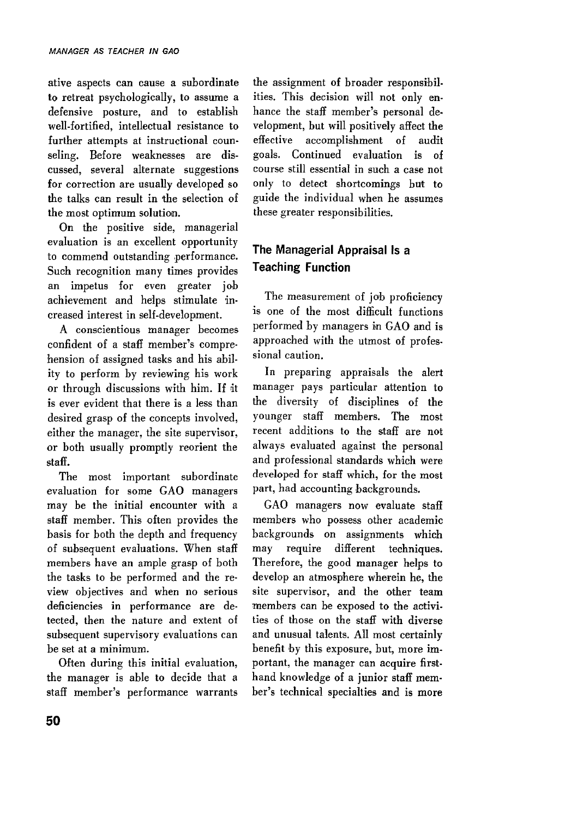ative aspects can cause a subordinate to retreat psychologically, to assume a defensive posture, and to establish well-fortified, intellectual resistance to further attempts at instructional counseling. Before weaknesses are discussed, several alternate suggestions for correction are usually developed so the talks can result in the selection of the most optimum solution.

On the positive side, managerial evaluation is an excellent opportunity to commend outstanding performance. Such recognition many times provides an impetus for even greater job achievement and helps stimulate increased interest in self-development.

**A** conscientious manager becomes confident of a staff member's comprehension of assigned tasks and his ability to perform by reviewing his work or through discussions with him. If it is ever evident that there is a less than desired grasp of the concepts involved, either the manager, the site supervisor, or both usually promptly reorient the staff.

The most important subordinate evaluation for some **GAO** managers may be the initial encounter with a staff member. This often provides the basis for both the depth and frequency of subsequent evaluations. When staff members have an ample grasp of both the tasks to be performed and the review objectives and when no serious deficiencies in performance are detected, then the nature and extent of subsequent supervisory evaluations can be set at a minimum.

Often during this initial evaluation, the managar is able to decide that a staff member's performance warrants the assignment of broader responsibilities. This decision will not only enhance the staff member's personal development, but will positively affect the effective accomplishment of audit goals. Continued evaluation is **of**  course still essential in such a case not only to detect shortcomings but to guide the individual when he assumes these greater responsibilities.

## **The Managerial Appraisal Is a Teaching Function**

The measurement of job proficiency is one of the most difficult functions performed by managers in **GAO** and is approached with the utmost of professional caution.

In preparing appraisals the alert manager pays particular attention to the diversity of disciplines of the younger staff members. The most recent additions to the staff are not always evaluated against the personal and professional standards whlich were developed for staff which, **for** the most part, had accounting backgrounds.

**GAO** managers now evaluate staff members who possess other academic backgrounds on assignments which may require different techniques. Therefore, the good manager helps to develop an atmosphere wherein he, the site supervisor, and the other team members can be exposed to the activities **of** those on the staff with diverse and unusual talents. All most certainly benefit by this exposure, but, more important, the manager can acquire firsthand knowledge **of** a junior staff member's technical specialties and is more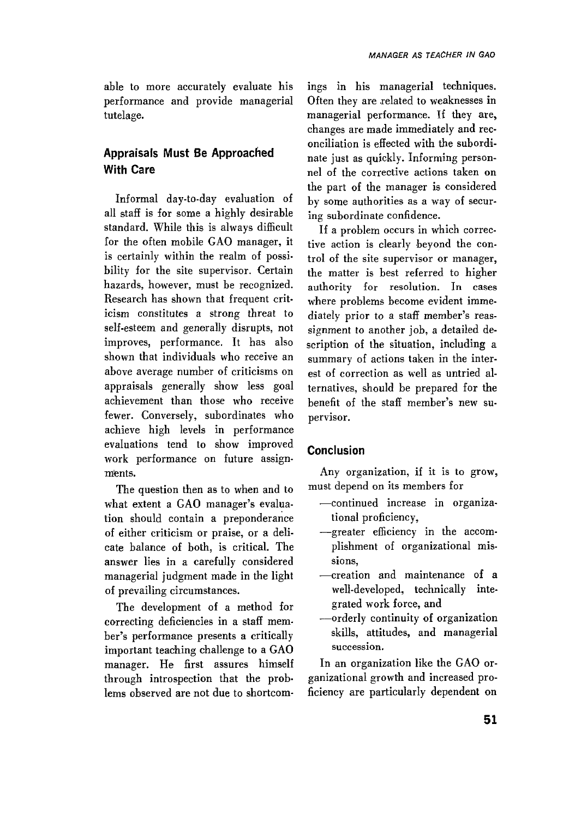able to more accurately evaluate his performance and provide managerial tutelage.

#### **Appraisals Must Be Approached With Care**

Informal day-to-day evaluation of all staff is for some a highly desirable standard. While this is always difficult for the often mobile **GAO** manager, it is certainly within the realm of possibility for the site supervisor. Certain hazards, however, must be recognized. Research has shown that frequent criticism constitutes a strong threat to self-esteem and generally disrupts, not improves, performance. It has also shown that individuals who receive an above average number of criticisms on appraisals generally show less goal achievement than those who receive fewer. Conversely, subordinates who achieve high levels in performance evaluations tend to show improved work performance on future assignments.

The question then as to when and to what extent a **GAO** manager's evaluation should contain a preponderance of either criticism or praise, or a delicate balance of both, is critical. The answer lies in a carefully considered managerial judgment made in the light of prevailing circumstances.

The development of a method for correcting deficiencies in a staff member's performance presents a critically important teaching challenge to a **GAO**  manager. He first assures himself through introspection that the problems observed are not due to shortcomings in his managerial techniques. Often they are related to weaknesses in managerial performance. **If** they are, changes are made immediately and reconciliation is effected with the subordinate just as quickly. Informing personnel of the corrective actions taken on the part of the manager is considered by some authorities as a way of securing subordinate confidence.

If a problem occurs in which corrective action is clearly beyond the control of the site supervisor or manager, the matter is best referred to higher authority for resolution. In cases where problems become evident immediately prior to a staff member's reassignment to another job, a detailed description **of** the situation, including a summary of actions taken in the interest of correction as well as untried alternatives, should be prepared for the benefit of the staff member's new supervisor.

#### **Conclusion**

Any organization, if it is to grow, must depend on its members for

- -continued increase in organizational proficiency,
- -greater efficiency in the accomplishment of organizational missions,
- -creation and maintenance of a well-developed, technically integrated work force, and
- -orderly continuity of organization skills, attitudes, and managerial succession,

In an organization like the **GAO** organizational growth and increased proficiency are particularly dependent on